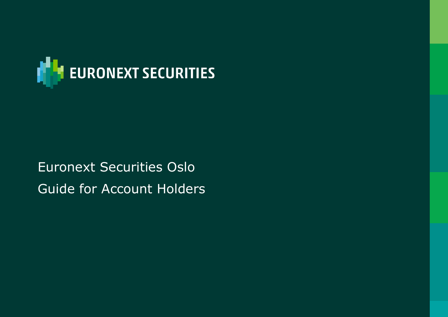

# Euronext Securities Oslo Guide for Account Holders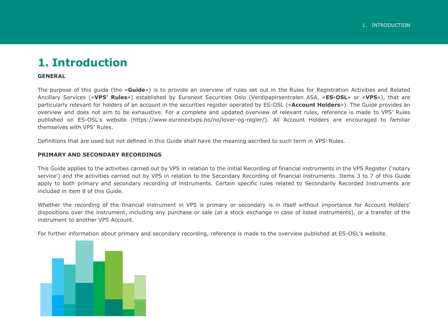#### <span id="page-1-0"></span>**1. Introduction**

#### **GENERAL**

The purpose of this guide (the «**Guide**») is to provide an overview of rules set out in the Rules for Registration Activities and Related Ancillary Services («**VPS' Rules**») established by Euronext Securities Oslo (Verdipapirsentralen ASA, «**ES-OSL**» or «**VPS**»), that are particularly relevant for holders of an account in the securities register operated by ES-OSL («**Account Holders**»). The Guide provides an overview and does not aim to be exhaustive. For a complete and updated overview of relevant rules, reference is made to VPS' Rules published on ES-OSL's website (https://www.euronextvps.no/no/lover-og-regler/). All Account Holders are encouraged to familiar themselves with VPS' Rules.

Definitions that are used but not defined in this Guide shall have the meaning ascribed to such term in VPS' Rules.

#### **PRIMARY AND SECONDARY RECORDINGS**

This Guide applies to the activities carried out by VPS in relation to the initial Recording of financial instruments in the VPS Register ('notary service') and the activities carried out by VPS in relation to the Secondary Recording of financial instruments. Items [3](#page-7-0) to [7](#page-15-0) of this Guide apply to both primary and secondary recording of instruments. Certain specific rules related to Secondarily Recorded Instruments are included in item 8 of this Guide.

Whether the recording of the financial instrument in VPS is primary or secondary is in itself without importance for Account Holders' dispositions over the instrument, including any purchase or sale (at a stock exchange in case of listed instruments), or a transfer of the instrument to another VPS Account.

For further information about primary and secondary recording, reference is made to the overview published at ES-OSL's website.

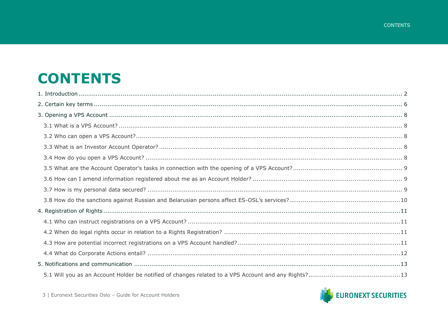## **CONTENTS**

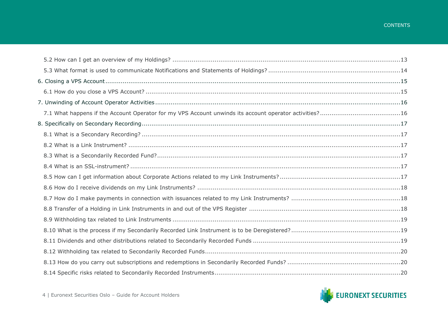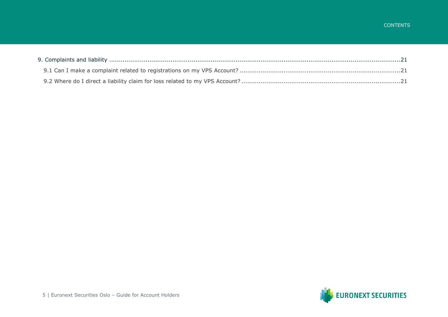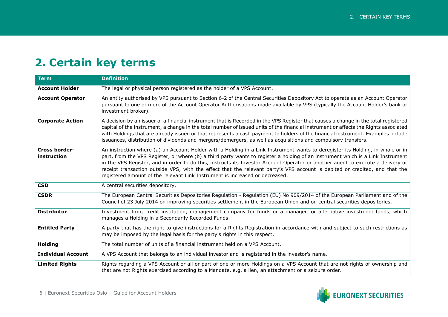### <span id="page-5-0"></span>**2. Certain key terms**

| <b>Term</b>                         | <b>Definition</b>                                                                                                                                                                                                                                                                                                                                                                                                                                                                                                                                                                                                   |
|-------------------------------------|---------------------------------------------------------------------------------------------------------------------------------------------------------------------------------------------------------------------------------------------------------------------------------------------------------------------------------------------------------------------------------------------------------------------------------------------------------------------------------------------------------------------------------------------------------------------------------------------------------------------|
| <b>Account Holder</b>               | The legal or physical person registered as the holder of a VPS Account.                                                                                                                                                                                                                                                                                                                                                                                                                                                                                                                                             |
| <b>Account Operator</b>             | An entity authorised by VPS pursuant to Section 6-2 of the Central Securities Depository Act to operate as an Account Operator<br>pursuant to one or more of the Account Operator Authorisations made available by VPS (typically the Account Holder's bank or<br>investment broker).                                                                                                                                                                                                                                                                                                                               |
| <b>Corporate Action</b>             | A decision by an issuer of a financial instrument that is Recorded in the VPS Register that causes a change in the total registered<br>capital of the instrument, a change in the total number of issued units of the financial instrument or affects the Rights associated<br>with Holdings that are already issued or that represents a cash payment to holders of the financial instrument. Examples include<br>issuances, distribution of dividends and mergers/demergers, as well as acquisitions and compulsory transfers.                                                                                    |
| <b>Cross border-</b><br>instruction | An instruction where (a) an Account Holder with a Holding in a Link Instrument wants to deregister its Holding, in whole or in<br>part, from the VPS Register, or where (b) a third party wants to register a holding of an instrument which is a Link Instrument<br>in the VPS Register, and in order to do this, instructs its Investor Account Operator or another agent to execute a delivery or<br>receipt transaction outside VPS, with the effect that the relevant party's VPS account is debited or credited, and that the<br>registered amount of the relevant Link Instrument is increased or decreased. |
| <b>CSD</b>                          | A central securities depository.                                                                                                                                                                                                                                                                                                                                                                                                                                                                                                                                                                                    |
| <b>CSDR</b>                         | The European Central Securities Depositories Regulation - Regulation (EU) No 909/2014 of the European Parliament and of the<br>Council of 23 July 2014 on improving securities settlement in the European Union and on central securities depositories.                                                                                                                                                                                                                                                                                                                                                             |
| <b>Distributor</b>                  | Investment firm, credit institution, management company for funds or a manager for alternative investment funds, which<br>manages a Holding in a Secondarily Recorded Funds.                                                                                                                                                                                                                                                                                                                                                                                                                                        |
| <b>Entitled Party</b>               | A party that has the right to give instructions for a Rights Registration in accordance with and subject to such restrictions as<br>may be imposed by the legal basis for the party's rights in this respect.                                                                                                                                                                                                                                                                                                                                                                                                       |
| <b>Holding</b>                      | The total number of units of a financial instrument held on a VPS Account.                                                                                                                                                                                                                                                                                                                                                                                                                                                                                                                                          |
| <b>Individual Account</b>           | A VPS Account that belongs to an individual investor and is registered in the investor's name.                                                                                                                                                                                                                                                                                                                                                                                                                                                                                                                      |
| <b>Limited Rights</b>               | Rights regarding a VPS Account or all or part of one or more Holdings on a VPS Account that are not rights of ownership and<br>that are not Rights exercised according to a Mandate, e.g. a lien, an attachment or a seizure order.                                                                                                                                                                                                                                                                                                                                                                                 |

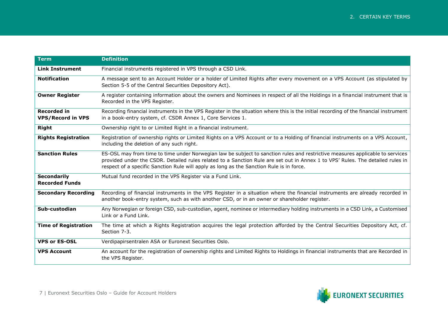| <b>Term</b>                                    | <b>Definition</b>                                                                                                                                                                                                                                                                                                                                           |
|------------------------------------------------|-------------------------------------------------------------------------------------------------------------------------------------------------------------------------------------------------------------------------------------------------------------------------------------------------------------------------------------------------------------|
| <b>Link Instrument</b>                         | Financial instruments registered in VPS through a CSD Link.                                                                                                                                                                                                                                                                                                 |
| <b>Notification</b>                            | A message sent to an Account Holder or a holder of Limited Rights after every movement on a VPS Account (as stipulated by<br>Section 5-5 of the Central Securities Depository Act).                                                                                                                                                                         |
| <b>Owner Register</b>                          | A register containing information about the owners and Nominees in respect of all the Holdings in a financial instrument that is<br>Recorded in the VPS Register.                                                                                                                                                                                           |
| <b>Recorded in</b><br><b>VPS/Record in VPS</b> | Recording financial instruments in the VPS Register in the situation where this is the initial recording of the financial instrument<br>in a book-entry system, cf. CSDR Annex 1, Core Services 1.                                                                                                                                                          |
| <b>Right</b>                                   | Ownership right to or Limited Right in a financial instrument.                                                                                                                                                                                                                                                                                              |
| <b>Rights Registration</b>                     | Registration of ownership rights or Limited Rights on a VPS Account or to a Holding of financial instruments on a VPS Account,<br>including the deletion of any such right.                                                                                                                                                                                 |
| <b>Sanction Rules</b>                          | ES-OSL may from time to time under Norwegian law be subject to sanction rules and restrictive measures applicable to services<br>provided under the CSDR. Detailed rules related to a Sanction Rule are set out in Annex 1 to VPS' Rules. The detailed rules in<br>respect of a specific Sanction Rule will apply as long as the Sanction Rule is in force. |
| <b>Secondarily</b><br><b>Recorded Funds</b>    | Mutual fund recorded in the VPS Register via a Fund Link.                                                                                                                                                                                                                                                                                                   |
| <b>Secondary Recording</b>                     | Recording of financial instruments in the VPS Register in a situation where the financial instruments are already recorded in<br>another book-entry system, such as with another CSD, or in an owner or shareholder register.                                                                                                                               |
| Sub-custodian                                  | Any Norwegian or foreign CSD, sub-custodian, agent, nominee or intermediary holding instruments in a CSD Link, a Customised<br>Link or a Fund Link.                                                                                                                                                                                                         |
| <b>Time of Registration</b>                    | The time at which a Rights Registration acquires the legal protection afforded by the Central Securities Depository Act, cf.<br>Section 7-3.                                                                                                                                                                                                                |
| <b>VPS or ES-OSL</b>                           | Verdipapirsentralen ASA or Euronext Securities Oslo.                                                                                                                                                                                                                                                                                                        |
| <b>VPS Account</b>                             | An account for the registration of ownership rights and Limited Rights to Holdings in financial instruments that are Recorded in<br>the VPS Register.                                                                                                                                                                                                       |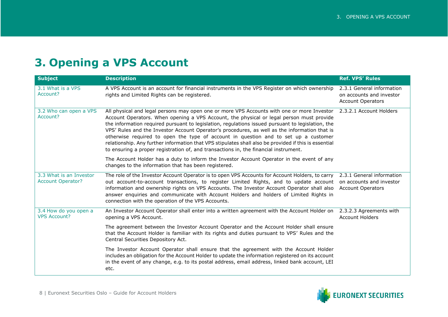### <span id="page-7-0"></span>**3. Opening a VPS Account**

<span id="page-7-4"></span><span id="page-7-3"></span><span id="page-7-2"></span><span id="page-7-1"></span>

| <b>Subject</b>                                      | <b>Description</b>                                                                                                                                                                                                                                                                                                                                                                                                                                                                                                                                                                                                                                                                   | <b>Ref. VPS' Rules</b>                                                            |
|-----------------------------------------------------|--------------------------------------------------------------------------------------------------------------------------------------------------------------------------------------------------------------------------------------------------------------------------------------------------------------------------------------------------------------------------------------------------------------------------------------------------------------------------------------------------------------------------------------------------------------------------------------------------------------------------------------------------------------------------------------|-----------------------------------------------------------------------------------|
| 3.1 What is a VPS<br>Account?                       | A VPS Account is an account for financial instruments in the VPS Register on which ownership<br>rights and Limited Rights can be registered.                                                                                                                                                                                                                                                                                                                                                                                                                                                                                                                                         | 2.3.1 General information<br>on accounts and investor<br><b>Account Operators</b> |
| 3.2 Who can open a VPS<br>Account?                  | All physical and legal persons may open one or more VPS Accounts with one or more Investor<br>Account Operators. When opening a VPS Account, the physical or legal person must provide<br>the information required pursuant to legislation, regulations issued pursuant to legislation, the<br>VPS' Rules and the Investor Account Operator's procedures, as well as the information that is<br>otherwise required to open the type of account in question and to set up a customer<br>relationship. Any further information that VPS stipulates shall also be provided if this is essential<br>to ensuring a proper registration of, and transactions in, the financial instrument. | 2.3.2.1 Account Holders                                                           |
|                                                     | The Account Holder has a duty to inform the Investor Account Operator in the event of any<br>changes to the information that has been registered.                                                                                                                                                                                                                                                                                                                                                                                                                                                                                                                                    |                                                                                   |
| 3.3 What is an Investor<br><b>Account Operator?</b> | The role of the Investor Account Operator is to open VPS Accounts for Account Holders, to carry<br>out account-to-account transactions, to register Limited Rights, and to update account<br>information and ownership rights on VPS Accounts. The Investor Account Operator shall also<br>answer enquiries and communicate with Account Holders and holders of Limited Rights in<br>connection with the operation of the VPS Accounts.                                                                                                                                                                                                                                              | 2.3.1 General information<br>on accounts and investor<br><b>Account Operators</b> |
| 3.4 How do you open a<br><b>VPS Account?</b>        | An Investor Account Operator shall enter into a written agreement with the Account Holder on<br>opening a VPS Account.                                                                                                                                                                                                                                                                                                                                                                                                                                                                                                                                                               | 2.3.2.3 Agreements with<br><b>Account Holders</b>                                 |
|                                                     | The agreement between the Investor Account Operator and the Account Holder shall ensure<br>that the Account Holder is familiar with its rights and duties pursuant to VPS' Rules and the<br>Central Securities Depository Act.                                                                                                                                                                                                                                                                                                                                                                                                                                                       |                                                                                   |
|                                                     | The Investor Account Operator shall ensure that the agreement with the Account Holder<br>includes an obligation for the Account Holder to update the information registered on its account<br>in the event of any change, e.g. to its postal address, email address, linked bank account, LEI<br>etc.                                                                                                                                                                                                                                                                                                                                                                                |                                                                                   |

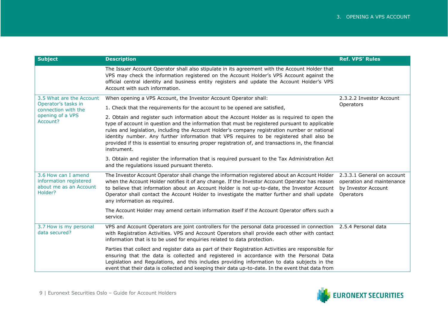<span id="page-8-2"></span><span id="page-8-1"></span><span id="page-8-0"></span>

| <b>Subject</b>                                                                     | <b>Description</b>                                                                                                                                                                                                                                                                                                                                                                                                                                                                                                 | <b>Ref. VPS' Rules</b>                                                                      |
|------------------------------------------------------------------------------------|--------------------------------------------------------------------------------------------------------------------------------------------------------------------------------------------------------------------------------------------------------------------------------------------------------------------------------------------------------------------------------------------------------------------------------------------------------------------------------------------------------------------|---------------------------------------------------------------------------------------------|
|                                                                                    | The Issuer Account Operator shall also stipulate in its agreement with the Account Holder that<br>VPS may check the information registered on the Account Holder's VPS Account against the<br>official central identity and business entity registers and update the Account Holder's VPS<br>Account with such information.                                                                                                                                                                                        |                                                                                             |
| 3.5 What are the Account                                                           | When opening a VPS Account, the Investor Account Operator shall:                                                                                                                                                                                                                                                                                                                                                                                                                                                   | 2.3.2.2 Investor Account                                                                    |
| Operator's tasks in<br>connection with the                                         | 1. Check that the requirements for the account to be opened are satisfied,                                                                                                                                                                                                                                                                                                                                                                                                                                         | Operators                                                                                   |
| opening of a VPS<br>Account?                                                       | 2. Obtain and register such information about the Account Holder as is required to open the<br>type of account in question and the information that must be registered pursuant to applicable<br>rules and legislation, including the Account Holder's company registration number or national<br>identity number. Any further information that VPS requires to be registered shall also be<br>provided if this is essential to ensuring proper registration of, and transactions in, the financial<br>instrument. |                                                                                             |
|                                                                                    | 3. Obtain and register the information that is required pursuant to the Tax Administration Act<br>and the regulations issued pursuant thereto.                                                                                                                                                                                                                                                                                                                                                                     |                                                                                             |
| 3.6 How can I amend<br>information registered<br>about me as an Account<br>Holder? | The Investor Account Operator shall change the information registered about an Account Holder<br>when the Account Holder notifies it of any change. If the Investor Account Operator has reason<br>to believe that information about an Account Holder is not up-to-date, the Investor Account<br>Operator shall contact the Account Holder to investigate the matter further and shall update<br>any information as required.                                                                                     | 2.3.3.1 General on account<br>operation and maintenance<br>by Investor Account<br>Operators |
|                                                                                    | The Account Holder may amend certain information itself if the Account Operator offers such a<br>service.                                                                                                                                                                                                                                                                                                                                                                                                          |                                                                                             |
| 3.7 How is my personal<br>data secured?                                            | VPS and Account Operators are joint controllers for the personal data processed in connection 2.5.4 Personal data<br>with Registration Activities. VPS and Account Operators shall provide each other with contact<br>information that is to be used for enquiries related to data protection.                                                                                                                                                                                                                     |                                                                                             |
|                                                                                    | Parties that collect and register data as part of their Registration Activities are responsible for<br>ensuring that the data is collected and registered in accordance with the Personal Data<br>Legislation and Regulations, and this includes providing information to data subjects in the<br>event that their data is collected and keeping their data up-to-date. In the event that data from                                                                                                                |                                                                                             |

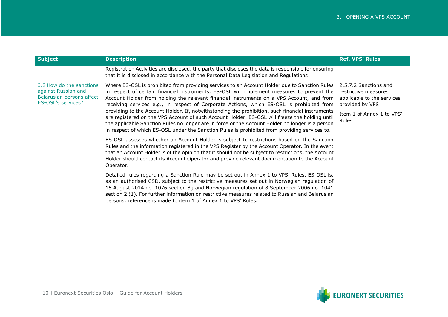<span id="page-9-0"></span>

| <b>Subject</b>                                                                                     | <b>Description</b>                                                                                                                                                                                                                                                                                                                                                                                                                                                                                                                                                                                                                                                                                                                                                                               | <b>Ref. VPS' Rules</b>                                                                                                               |
|----------------------------------------------------------------------------------------------------|--------------------------------------------------------------------------------------------------------------------------------------------------------------------------------------------------------------------------------------------------------------------------------------------------------------------------------------------------------------------------------------------------------------------------------------------------------------------------------------------------------------------------------------------------------------------------------------------------------------------------------------------------------------------------------------------------------------------------------------------------------------------------------------------------|--------------------------------------------------------------------------------------------------------------------------------------|
|                                                                                                    | Registration Activities are disclosed, the party that discloses the data is responsible for ensuring<br>that it is disclosed in accordance with the Personal Data Legislation and Regulations.                                                                                                                                                                                                                                                                                                                                                                                                                                                                                                                                                                                                   |                                                                                                                                      |
| 3.8 How do the sanctions<br>against Russian and<br>Belarusian persons affect<br>ES-OSL's services? | Where ES-OSL is prohibited from providing services to an Account Holder due to Sanction Rules<br>in respect of certain financial instruments, ES-OSL will implement measures to prevent the<br>Account Holder from holding the relevant financial instruments on a VPS Account, and from<br>receiving services e.g., in respect of Corporate Actions, which ES-OSL is prohibited from<br>providing to the Account Holder. If, notwithstanding the prohibition, such financial instruments<br>are registered on the VPS Account of such Account Holder, ES-OSL will freeze the holding until<br>the applicable Sanction Rules no longer are in force or the Account Holder no longer is a person<br>in respect of which ES-OSL under the Sanction Rules is prohibited from providing services to. | 2.5.7.2 Sanctions and<br>restrictive measures<br>applicable to the services<br>provided by VPS<br>Item 1 of Annex 1 to VPS'<br>Rules |
|                                                                                                    | ES-OSL assesses whether an Account Holder is subject to restrictions based on the Sanction<br>Rules and the information registered in the VPS Register by the Account Operator. In the event<br>that an Account Holder is of the opinion that it should not be subject to restrictions, the Account<br>Holder should contact its Account Operator and provide relevant documentation to the Account<br>Operator.                                                                                                                                                                                                                                                                                                                                                                                 |                                                                                                                                      |
|                                                                                                    | Detailed rules regarding a Sanction Rule may be set out in Annex 1 to VPS' Rules. ES-OSL is,<br>as an authorised CSD, subject to the restrictive measures set out in Norwegian regulation of<br>15 August 2014 no. 1076 section 8g and Norwegian regulation of 8 September 2006 no. 1041<br>section 2 (1). For further information on restrictive measures related to Russian and Belarusian<br>persons, reference is made to item 1 of Annex 1 to VPS' Rules.                                                                                                                                                                                                                                                                                                                                   |                                                                                                                                      |

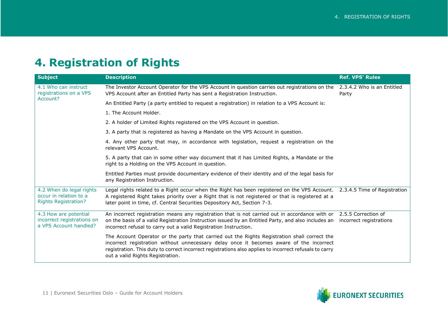### <span id="page-10-0"></span>**4. Registration of Rights**

<span id="page-10-3"></span><span id="page-10-2"></span><span id="page-10-1"></span>

| <b>Subject</b>                                                                    | <b>Description</b>                                                                                                                                                                                                                                                                                                                    | <b>Ref. VPS' Rules</b>              |
|-----------------------------------------------------------------------------------|---------------------------------------------------------------------------------------------------------------------------------------------------------------------------------------------------------------------------------------------------------------------------------------------------------------------------------------|-------------------------------------|
| 4.1 Who can instruct<br>registrations on a VPS                                    | The Investor Account Operator for the VPS Account in question carries out registrations on the<br>VPS Account after an Entitled Party has sent a Registration Instruction.                                                                                                                                                            | 2.3.4.2 Who is an Entitled<br>Party |
| Account?                                                                          | An Entitled Party (a party entitled to request a registration) in relation to a VPS Account is:                                                                                                                                                                                                                                       |                                     |
|                                                                                   | 1. The Account Holder.                                                                                                                                                                                                                                                                                                                |                                     |
|                                                                                   | 2. A holder of Limited Rights registered on the VPS Account in question.                                                                                                                                                                                                                                                              |                                     |
|                                                                                   | 3. A party that is registered as having a Mandate on the VPS Account in question.                                                                                                                                                                                                                                                     |                                     |
|                                                                                   | 4. Any other party that may, in accordance with legislation, request a registration on the<br>relevant VPS Account.                                                                                                                                                                                                                   |                                     |
|                                                                                   | 5. A party that can in some other way document that it has Limited Rights, a Mandate or the<br>right to a Holding on the VPS Account in question.                                                                                                                                                                                     |                                     |
|                                                                                   | Entitled Parties must provide documentary evidence of their identity and of the legal basis for<br>any Registration Instruction.                                                                                                                                                                                                      |                                     |
| 4.2 When do legal rights<br>occur in relation to a<br><b>Rights Registration?</b> | Legal rights related to a Right occur when the Right has been registered on the VPS Account. 2.3.4.5 Time of Registration<br>A registered Right takes priority over a Right that is not registered or that is registered at a<br>later point in time, cf. Central Securities Depository Act, Section 7-3.                             |                                     |
| 4.3 How are potential<br>incorrect registrations on<br>a VPS Account handled?     | An incorrect registration means any registration that is not carried out in accordance with or 2.5.5 Correction of<br>on the basis of a valid Registration Instruction issued by an Entitled Party, and also includes an incorrect registrations<br>incorrect refusal to carry out a valid Registration Instruction.                  |                                     |
|                                                                                   | The Account Operator or the party that carried out the Rights Registration shall correct the<br>incorrect registration without unnecessary delay once it becomes aware of the incorrect<br>registration. This duty to correct incorrect registrations also applies to incorrect refusals to carry<br>out a valid Rights Registration. |                                     |

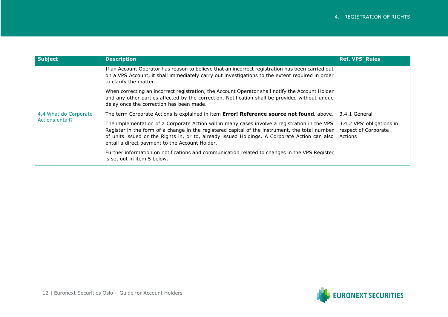<span id="page-11-0"></span>

| <b>Subject</b>                           | <b>Description</b>                                                                                                                                                                                                                                                                                                                                 | <b>Ref. VPS' Rules</b>                                       |
|------------------------------------------|----------------------------------------------------------------------------------------------------------------------------------------------------------------------------------------------------------------------------------------------------------------------------------------------------------------------------------------------------|--------------------------------------------------------------|
|                                          | If an Account Operator has reason to believe that an incorrect registration has been carried out<br>on a VPS Account, it shall immediately carry out investigations to the extent required in order<br>to clarify the matter.                                                                                                                      |                                                              |
|                                          | When correcting an incorrect registration, the Account Operator shall notify the Account Holder<br>and any other parties affected by the correction. Notification shall be provided without undue<br>delay once the correction has been made.                                                                                                      |                                                              |
| 4.4 What do Corporate<br>Actions entail? | The term Corporate Actions is explained in item Error! Reference source not found. above.                                                                                                                                                                                                                                                          | 3.4.1 General                                                |
|                                          | The implementation of a Corporate Action will in many cases involve a registration in the VPS<br>Register in the form of a change in the registered capital of the instrument, the total number<br>of units issued or the Rights in, or to, already issued Holdings. A Corporate Action can also<br>entail a direct payment to the Account Holder. | 3.4.2 VPS' obligations in<br>respect of Corporate<br>Actions |
|                                          | Further information on notifications and communication related to changes in the VPS Register<br>is set out in item 5 below.                                                                                                                                                                                                                       |                                                              |

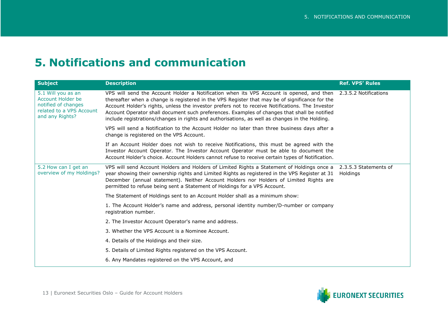#### <span id="page-12-0"></span>**5. Notifications and communication**

<span id="page-12-2"></span><span id="page-12-1"></span>

| <b>Subject</b>                                                                                                | <b>Description</b>                                                                                                                                                                                                                                                                                                                                                                                                                                                                                                    | <b>Ref. VPS' Rules</b> |
|---------------------------------------------------------------------------------------------------------------|-----------------------------------------------------------------------------------------------------------------------------------------------------------------------------------------------------------------------------------------------------------------------------------------------------------------------------------------------------------------------------------------------------------------------------------------------------------------------------------------------------------------------|------------------------|
| 5.1 Will you as an<br>Account Holder be<br>notified of changes<br>related to a VPS Account<br>and any Rights? | VPS will send the Account Holder a Notification when its VPS Account is opened, and then 2.3.5.2 Notifications<br>thereafter when a change is registered in the VPS Register that may be of significance for the<br>Account Holder's rights, unless the investor prefers not to receive Notifications. The Investor<br>Account Operator shall document such preferences. Examples of changes that shall be notified<br>include registrations/changes in rights and authorisations, as well as changes in the Holding. |                        |
|                                                                                                               | VPS will send a Notification to the Account Holder no later than three business days after a<br>change is registered on the VPS Account.                                                                                                                                                                                                                                                                                                                                                                              |                        |
|                                                                                                               | If an Account Holder does not wish to receive Notifications, this must be agreed with the<br>Investor Account Operator. The Investor Account Operator must be able to document the<br>Account Holder's choice. Account Holders cannot refuse to receive certain types of Notification.                                                                                                                                                                                                                                |                        |
| 5.2 How can I get an<br>overview of my Holdings?                                                              | VPS will send Account Holders and Holders of Limited Rights a Statement of Holdings once a 2.3.5.3 Statements of<br>year showing their ownership rights and Limited Rights as registered in the VPS Register at 31<br>December (annual statement). Neither Account Holders nor Holders of Limited Rights are<br>permitted to refuse being sent a Statement of Holdings for a VPS Account.                                                                                                                             | Holdings               |
|                                                                                                               | The Statement of Holdings sent to an Account Holder shall as a minimum show:                                                                                                                                                                                                                                                                                                                                                                                                                                          |                        |
|                                                                                                               | 1. The Account Holder's name and address, personal identity number/D-number or company<br>registration number.                                                                                                                                                                                                                                                                                                                                                                                                        |                        |
|                                                                                                               | 2. The Investor Account Operator's name and address.                                                                                                                                                                                                                                                                                                                                                                                                                                                                  |                        |
|                                                                                                               | 3. Whether the VPS Account is a Nominee Account.                                                                                                                                                                                                                                                                                                                                                                                                                                                                      |                        |
|                                                                                                               | 4. Details of the Holdings and their size.                                                                                                                                                                                                                                                                                                                                                                                                                                                                            |                        |
|                                                                                                               | 5. Details of Limited Rights registered on the VPS Account.                                                                                                                                                                                                                                                                                                                                                                                                                                                           |                        |
|                                                                                                               | 6. Any Mandates registered on the VPS Account, and                                                                                                                                                                                                                                                                                                                                                                                                                                                                    |                        |

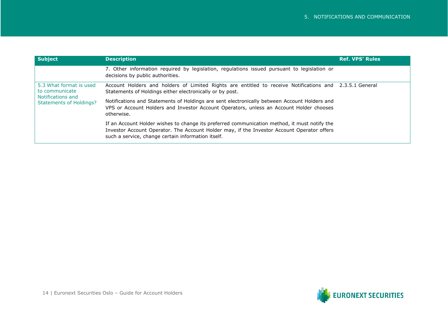<span id="page-13-0"></span>

| <b>Subject</b>                                                 | <b>Description</b>                                                                                                                                                                                                                               | <b>Ref. VPS' Rules</b> |
|----------------------------------------------------------------|--------------------------------------------------------------------------------------------------------------------------------------------------------------------------------------------------------------------------------------------------|------------------------|
|                                                                | 7. Other information required by legislation, regulations issued pursuant to legislation or<br>decisions by public authorities.                                                                                                                  |                        |
| 5.3 What format is used<br>to communicate<br>Notifications and | Account Holders and holders of Limited Rights are entitled to receive Notifications and 2.3.5.1 General<br>Statements of Holdings either electronically or by post.                                                                              |                        |
| <b>Statements of Holdings?</b>                                 | Notifications and Statements of Holdings are sent electronically between Account Holders and<br>VPS or Account Holders and Investor Account Operators, unless an Account Holder chooses<br>otherwise.                                            |                        |
|                                                                | If an Account Holder wishes to change its preferred communication method, it must notify the<br>Investor Account Operator. The Account Holder may, if the Investor Account Operator offers<br>such a service, change certain information itself. |                        |

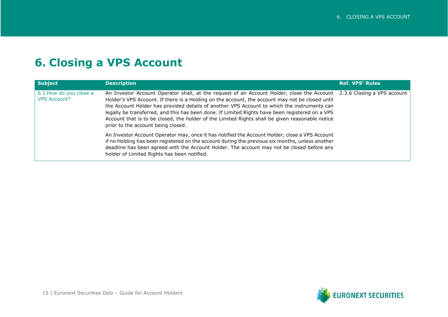#### <span id="page-14-0"></span>**6. Closing a VPS Account**

<span id="page-14-1"></span>

| <b>Subject</b>                                | <b>Description</b>                                                                                                                                                                                                                                                                                                                                                                                                                                                                                                                                                   | <b>Ref. VPS' Rules</b> |
|-----------------------------------------------|----------------------------------------------------------------------------------------------------------------------------------------------------------------------------------------------------------------------------------------------------------------------------------------------------------------------------------------------------------------------------------------------------------------------------------------------------------------------------------------------------------------------------------------------------------------------|------------------------|
| 6.1 How do you close a<br><b>VPS Account?</b> | An Investor Account Operator shall, at the request of an Account Holder, close the Account 2.3.6 Closing a VPS account<br>Holder's VPS Account. If there is a Holding on the account, the account may not be closed until<br>the Account Holder has provided details of another VPS Account to which the instruments can<br>legally be transferred, and this has been done. If Limited Rights have been registered on a VPS<br>Account that is to be closed, the holder of the Limited Rights shall be given reasonable notice<br>prior to the account being closed. |                        |
|                                               | An Investor Account Operator may, once it has notified the Account Holder, close a VPS Account<br>if no Holding has been registered on the account during the previous six months, unless another<br>deadline has been agreed with the Account Holder. The account may not be closed before any<br>holder of Limited Rights has been notified.                                                                                                                                                                                                                       |                        |

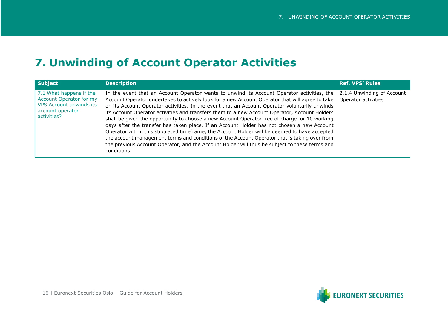#### <span id="page-15-0"></span>**7. Unwinding of Account Operator Activities**

<span id="page-15-1"></span>

| Subject                                                                                                                 | <b>Description</b>                                                                                                                                                                                                                                                                                                                                                                                                                                                                                                                                                                                                                                                                                                                                                                                                                                                                                                                         | <b>Ref. VPS' Rules</b> |
|-------------------------------------------------------------------------------------------------------------------------|--------------------------------------------------------------------------------------------------------------------------------------------------------------------------------------------------------------------------------------------------------------------------------------------------------------------------------------------------------------------------------------------------------------------------------------------------------------------------------------------------------------------------------------------------------------------------------------------------------------------------------------------------------------------------------------------------------------------------------------------------------------------------------------------------------------------------------------------------------------------------------------------------------------------------------------------|------------------------|
| 7.1 What happens if the<br>Account Operator for my<br><b>VPS Account unwinds its</b><br>account operator<br>activities? | In the event that an Account Operator wants to unwind its Account Operator activities, the 2.1.4 Unwinding of Account<br>Account Operator undertakes to actively look for a new Account Operator that will agree to take<br>on its Account Operator activities. In the event that an Account Operator voluntarily unwinds<br>its Account Operator activities and transfers them to a new Account Operator, Account Holders<br>shall be given the opportunity to choose a new Account Operator free of charge for 10 working<br>days after the transfer has taken place. If an Account Holder has not chosen a new Account<br>Operator within this stipulated timeframe, the Account Holder will be deemed to have accepted<br>the account management terms and conditions of the Account Operator that is taking over from<br>the previous Account Operator, and the Account Holder will thus be subject to these terms and<br>conditions. | Operator activities    |

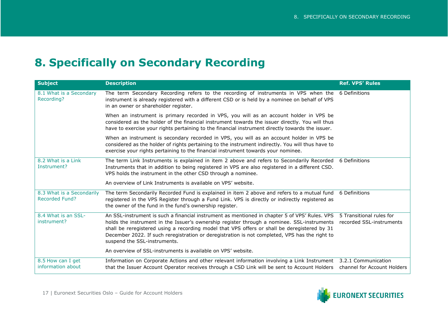#### <span id="page-16-0"></span>**8. Specifically on Secondary Recording**

<span id="page-16-5"></span><span id="page-16-4"></span><span id="page-16-3"></span><span id="page-16-2"></span><span id="page-16-1"></span>

| <b>Subject</b>                                     | <b>Description</b>                                                                                                                                                                                                                                                                                                                                                                                                            | <b>Ref. VPS' Rules</b>                               |
|----------------------------------------------------|-------------------------------------------------------------------------------------------------------------------------------------------------------------------------------------------------------------------------------------------------------------------------------------------------------------------------------------------------------------------------------------------------------------------------------|------------------------------------------------------|
| 8.1 What is a Secondary<br>Recording?              | The term Secondary Recording refers to the recording of instruments in VPS when the 6 Definitions<br>instrument is already registered with a different CSD or is held by a nominee on behalf of VPS<br>in an owner or shareholder register.                                                                                                                                                                                   |                                                      |
|                                                    | When an instrument is primary recorded in VPS, you will as an account holder in VPS be<br>considered as the holder of the financial instrument towards the issuer directly. You will thus<br>have to exercise your rights pertaining to the financial instrument directly towards the issuer.                                                                                                                                 |                                                      |
|                                                    | When an instrument is secondary recorded in VPS, you will as an account holder in VPS be<br>considered as the holder of rights pertaining to the instrument indirectly. You will thus have to<br>exercise your rights pertaining to the financial instrument towards your nominee.                                                                                                                                            |                                                      |
| 8.2 What is a Link<br>Instrument?                  | The term Link Instruments is explained in item 2 above and refers to Secondarily Recorded<br>Instruments that in addition to being registered in VPS are also registered in a different CSD.<br>VPS holds the instrument in the other CSD through a nominee.                                                                                                                                                                  | 6 Definitions                                        |
|                                                    | An overview of Link Instruments is available on VPS' website.                                                                                                                                                                                                                                                                                                                                                                 |                                                      |
| 8.3 What is a Secondarily<br><b>Recorded Fund?</b> | The term Secondarily Recorded Fund is explained in item 2 above and refers to a mutual fund<br>registered in the VPS Register through a Fund Link. VPS is directly or indirectly registered as<br>the owner of the fund in the fund's ownership register.                                                                                                                                                                     | 6 Definitions                                        |
| 8.4 What is an SSL-<br>instrument?                 | An SSL-instrument is such a financial instrument as mentioned in chapter 5 of VPS' Rules. VPS<br>holds the instrument in the Issuer's ownership register through a nominee. SSL-instruments<br>shall be reregistered using a recording model that VPS offers or shall be deregistered by 31<br>December 2022. If such reregistration or deregistration is not completed, VPS has the right to<br>suspend the SSL-instruments. | 5 Transitional rules for<br>recorded SSL-instruments |
|                                                    | An overview of SSL-instruments is available on VPS' website.                                                                                                                                                                                                                                                                                                                                                                  |                                                      |
| 8.5 How can I get<br>information about             | Information on Corporate Actions and other relevant information involving a Link Instrument 3.2.1 Communication<br>that the Issuer Account Operator receives through a CSD Link will be sent to Account Holders                                                                                                                                                                                                               | channel for Account Holders                          |

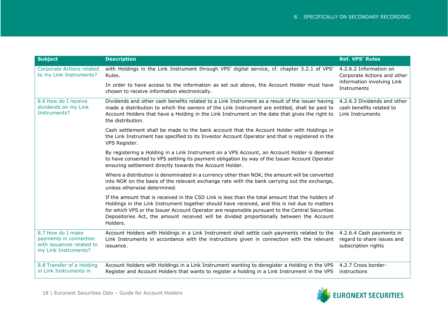<span id="page-17-2"></span><span id="page-17-1"></span><span id="page-17-0"></span>

| <b>Subject</b>                                                                                   | <b>Description</b>                                                                                                                                                                                                                                                                                                                                                                                           | <b>Ref. VPS' Rules</b>                                                                             |
|--------------------------------------------------------------------------------------------------|--------------------------------------------------------------------------------------------------------------------------------------------------------------------------------------------------------------------------------------------------------------------------------------------------------------------------------------------------------------------------------------------------------------|----------------------------------------------------------------------------------------------------|
| <b>Corporate Actions related</b><br>to my Link Instruments?                                      | with Holdings in the Link Instrument through VPS' digital service, cf. chapter 3.2.1 of VPS'<br>Rules.<br>In order to have access to the information as set out above, the Account Holder must have<br>chosen to receive information electronically.                                                                                                                                                         | 4.2.6.2 Information on<br>Corporate Actions and other<br>information involving Link<br>Instruments |
| 8.6 How do I receive<br>dividends on my Link<br>Instruments?                                     | Dividends and other cash benefits related to a Link Instrument as a result of the issuer having<br>made a distribution to which the owners of the Link Instrument are entitled, shall be paid to<br>Account Holders that have a Holding in the Link Instrument on the date that gives the right to<br>the distribution.                                                                                      | 4.2.6.3 Dividends and other<br>cash benefits related to<br>Link Instruments                        |
|                                                                                                  | Cash settlement shall be made to the bank account that the Account Holder with Holdings in<br>the Link Instrument has specified to its Investor Account Operator and that is registered in the<br>VPS Register.                                                                                                                                                                                              |                                                                                                    |
|                                                                                                  | By registering a Holding in a Link Instrument on a VPS Account, an Account Holder is deemed<br>to have consented to VPS settling its payment obligation by way of the Issuer Account Operator<br>ensuring settlement directly towards the Account Holder.                                                                                                                                                    |                                                                                                    |
|                                                                                                  | Where a distribution is denominated in a currency other than NOK, the amount will be converted<br>into NOK on the basis of the relevant exchange rate with the bank carrying out the exchange,<br>unless otherwise determined.                                                                                                                                                                               |                                                                                                    |
|                                                                                                  | If the amount that is received in the CSD Link is less than the total amount that the holders of<br>Holdings in the Link Instrument together should have received, and this is not due to matters<br>for which VPS or the Issuer Account Operator are responsible pursuant to the Central Securities<br>Depositories Act, the amount received will be divided proportionally between the Account<br>Holders. |                                                                                                    |
| 8.7 How do I make<br>payments in connection<br>with issuances related to<br>my Link Instruments? | Account Holders with Holdings in a Link Instrument shall settle cash payments related to the<br>Link Instruments in accordance with the instructions given in connection with the relevant<br>issuance.                                                                                                                                                                                                      | 4.2.6.4 Cash payments in<br>regard to share issues and<br>subscription rights                      |
| 8.8 Transfer of a Holding<br>in Link Instruments in                                              | Account Holders with Holdings in a Link Instrument wanting to deregister a Holding in the VPS<br>Register and Account Holders that wants to register a holding in a Link Instrument in the VPS                                                                                                                                                                                                               | 4.2.7 Cross border-<br>instructions                                                                |

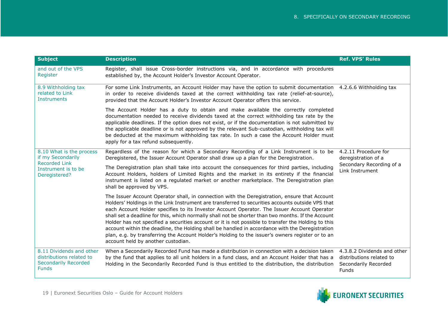<span id="page-18-2"></span><span id="page-18-1"></span><span id="page-18-0"></span>

| <b>Subject</b>                                                                                                | <b>Description</b>                                                                                                                                                                                                                                                                                                                                                                                                                                                                                                                                                                                                                                                                                                                                         | <b>Ref. VPS' Rules</b>                                                                     |
|---------------------------------------------------------------------------------------------------------------|------------------------------------------------------------------------------------------------------------------------------------------------------------------------------------------------------------------------------------------------------------------------------------------------------------------------------------------------------------------------------------------------------------------------------------------------------------------------------------------------------------------------------------------------------------------------------------------------------------------------------------------------------------------------------------------------------------------------------------------------------------|--------------------------------------------------------------------------------------------|
| and out of the VPS<br>Register                                                                                | Register, shall issue Cross-border instructions via, and in accordance with procedures<br>established by, the Account Holder's Investor Account Operator.                                                                                                                                                                                                                                                                                                                                                                                                                                                                                                                                                                                                  |                                                                                            |
| 8.9 Withholding tax<br>related to Link<br><b>Instruments</b>                                                  | For some Link Instruments, an Account Holder may have the option to submit documentation 4.2.6.6 Withholding tax<br>in order to receive dividends taxed at the correct withholding tax rate (relief-at-source),<br>provided that the Account Holder's Investor Account Operator offers this service.                                                                                                                                                                                                                                                                                                                                                                                                                                                       |                                                                                            |
|                                                                                                               | The Account Holder has a duty to obtain and make available the correctly completed<br>documentation needed to receive dividends taxed at the correct withholding tax rate by the<br>applicable deadlines. If the option does not exist, or if the documentation is not submitted by<br>the applicable deadline or is not approved by the relevant Sub-custodian, withholding tax will<br>be deducted at the maximum withholding tax rate. In such a case the Account Holder must<br>apply for a tax refund subsequently.                                                                                                                                                                                                                                   |                                                                                            |
| 8.10 What is the process<br>if my Secondarily<br><b>Recorded Link</b><br>Instrument is to be<br>Deregistered? | Regardless of the reason for which a Secondary Recording of a Link Instrument is to be<br>Deregistered, the Issuer Account Operator shall draw up a plan for the Deregistration.                                                                                                                                                                                                                                                                                                                                                                                                                                                                                                                                                                           | 4.2.11 Procedure for<br>deregistration of a<br>Secondary Recording of a<br>Link Instrument |
|                                                                                                               | The Deregistration plan shall take into account the consequences for third parties, including<br>Account Holders, holders of Limited Rights and the market in its entirety if the financial<br>instrument is listed on a regulated market or another marketplace. The Deregistration plan<br>shall be approved by VPS.                                                                                                                                                                                                                                                                                                                                                                                                                                     |                                                                                            |
|                                                                                                               | The Issuer Account Operator shall, in connection with the Deregistration, ensure that Account<br>Holders' Holdings in the Link Instrument are transferred to securities accounts outside VPS that<br>each Account Holder specifies to its Investor Account Operator. The Issuer Account Operator<br>shall set a deadline for this, which normally shall not be shorter than two months. If the Account<br>Holder has not specified a securities account or it is not possible to transfer the Holding to this<br>account within the deadline, the Holding shall be handled in accordance with the Deregistration<br>plan, e.g. by transferring the Account Holder's Holding to the issuer's owners register or to an<br>account held by another custodian. |                                                                                            |
| 8.11 Dividends and other<br>distributions related to<br><b>Secondarily Recorded</b><br><b>Funds</b>           | When a Secondarily Recorded Fund has made a distribution in connection with a decision taken<br>by the fund that applies to all unit holders in a fund class, and an Account Holder that has a<br>Holding in the Secondarily Recorded Fund is thus entitled to the distribution, the distribution                                                                                                                                                                                                                                                                                                                                                                                                                                                          | 4.3.8.2 Dividends and other<br>distributions related to<br>Secondarily Recorded<br>Funds   |

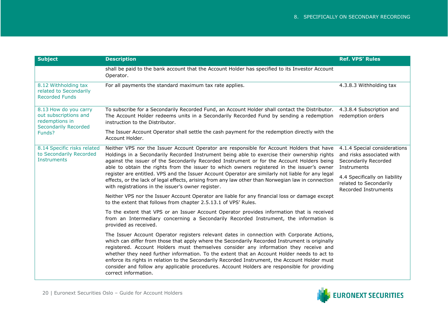<span id="page-19-2"></span><span id="page-19-1"></span><span id="page-19-0"></span>

| <b>Subject</b>                                                                                            | <b>Description</b>                                                                                                                                                                                                                                                                                                                                                                                                                                                                                                                                                                                                                                    | <b>Ref. VPS' Rules</b>                                                                                                                                                              |
|-----------------------------------------------------------------------------------------------------------|-------------------------------------------------------------------------------------------------------------------------------------------------------------------------------------------------------------------------------------------------------------------------------------------------------------------------------------------------------------------------------------------------------------------------------------------------------------------------------------------------------------------------------------------------------------------------------------------------------------------------------------------------------|-------------------------------------------------------------------------------------------------------------------------------------------------------------------------------------|
|                                                                                                           | shall be paid to the bank account that the Account Holder has specified to its Investor Account<br>Operator.                                                                                                                                                                                                                                                                                                                                                                                                                                                                                                                                          |                                                                                                                                                                                     |
| 8.12 Withholding tax<br>related to Secondarily<br><b>Recorded Funds</b>                                   | For all payments the standard maximum tax rate applies.                                                                                                                                                                                                                                                                                                                                                                                                                                                                                                                                                                                               | 4.3.8.3 Withholding tax                                                                                                                                                             |
| 8.13 How do you carry<br>out subscriptions and<br>redemptions in<br><b>Secondarily Recorded</b><br>Funds? | To subscribe for a Secondarily Recorded Fund, an Account Holder shall contact the Distributor.<br>The Account Holder redeems units in a Secondarily Recorded Fund by sending a redemption<br>instruction to the Distributor.                                                                                                                                                                                                                                                                                                                                                                                                                          | 4.3.8.4 Subscription and<br>redemption orders                                                                                                                                       |
|                                                                                                           | The Issuer Account Operator shall settle the cash payment for the redemption directly with the<br>Account Holder.                                                                                                                                                                                                                                                                                                                                                                                                                                                                                                                                     |                                                                                                                                                                                     |
| 8.14 Specific risks related<br>to Secondarily Recorded<br><b>Instruments</b>                              | Neither VPS nor the Issuer Account Operator are responsible for Account Holders that have<br>Holdings in a Secondarily Recorded Instrument being able to exercise their ownership rights<br>against the issuer of the Secondarily Recorded Instrument or for the Account Holders being<br>able to obtain the rights from the issuer to which owners registered in the issuer's owner<br>register are entitled. VPS and the Issuer Account Operator are similarly not liable for any legal<br>effects, or the lack of legal effects, arising from any law other than Norwegian law in connection<br>with registrations in the issuer's owner register. | 4.1.4 Special considerations<br>and risks associated with<br>Secondarily Recorded<br>Instruments<br>4.4 Specifically on liability<br>related to Secondarily<br>Recorded Instruments |
|                                                                                                           | Neither VPS nor the Issuer Account Operator are liable for any financial loss or damage except<br>to the extent that follows from chapter 2.5.13.1 of VPS' Rules.                                                                                                                                                                                                                                                                                                                                                                                                                                                                                     |                                                                                                                                                                                     |
|                                                                                                           | To the extent that VPS or an Issuer Account Operator provides information that is received<br>from an Intermediary concerning a Secondarily Recorded Instrument, the information is<br>provided as received.                                                                                                                                                                                                                                                                                                                                                                                                                                          |                                                                                                                                                                                     |
|                                                                                                           | The Issuer Account Operator registers relevant dates in connection with Corporate Actions,<br>which can differ from those that apply where the Secondarily Recorded Instrument is originally<br>registered. Account Holders must themselves consider any information they receive and<br>whether they need further information. To the extent that an Account Holder needs to act to<br>enforce its rights in relation to the Secondarily Recorded Instrument, the Account Holder must<br>consider and follow any applicable procedures. Account Holders are responsible for providing<br>correct information.                                        |                                                                                                                                                                                     |

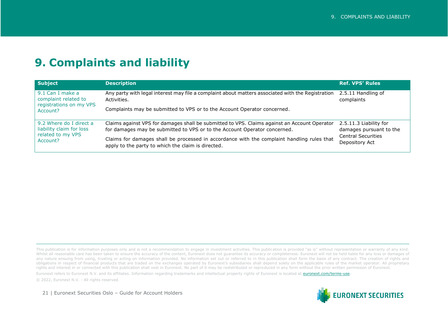#### <span id="page-20-0"></span>**9. Complaints and liability**

<span id="page-20-2"></span><span id="page-20-1"></span>

| <b>Subject</b>                                                                       | <b>Description</b>                                                                                                                               | <b>Ref. VPS' Rules</b>                                                 |
|--------------------------------------------------------------------------------------|--------------------------------------------------------------------------------------------------------------------------------------------------|------------------------------------------------------------------------|
| 9.1 Can I make a<br>complaint related to<br>registrations on my VPS<br>Account?      | Any party with legal interest may file a complaint about matters associated with the Registration<br>Activities.                                 | 2.5.11 Handling of<br>complaints                                       |
|                                                                                      | Complaints may be submitted to VPS or to the Account Operator concerned.                                                                         |                                                                        |
| 9.2 Where do I direct a<br>liability claim for loss<br>related to my VPS<br>Account? | Claims against VPS for damages shall be submitted to VPS. Claims against an Account Operator                                                     | 2.5.11.3 Liability for                                                 |
|                                                                                      | for damages may be submitted to VPS or to the Account Operator concerned.                                                                        | damages pursuant to the<br><b>Central Securities</b><br>Depository Act |
|                                                                                      | Claims for damages shall be processed in accordance with the complaint handling rules that<br>apply to the party to which the claim is directed. |                                                                        |

This publication is for information purposes only and is not a recommendation to engage in investment activities. This publication is provided "as is" without representation or warranty of any kind. Whilst all reasonable care has been taken to ensure the accuracy of the content, Euronext does not guarantee its accuracy or completeness. Euronext will not be held liable for any loss or damages of any nature ensuing from using, trusting or acting on information provided. No information set out or referred to in this publication shall form the basis of any contract. The creation of rights and obligations in respect of financial products that are traded on the exchanges operated by Euronext's subsidiaries shall depend solely on the applicable rules of the market operator. All proprietary rights and interest in or connected with this publication shall vest in Euronext. No part of it may be redistributed or reproduced in any form without the prior written permission of Euronext.

Euronext refers to Euronext N.V. and its affiliates. Information regarding trademarks and intellectual property rights of Euronext is located at euronext.com/terms-use.

© 2022, Euronext N.V. - All rights reserved.